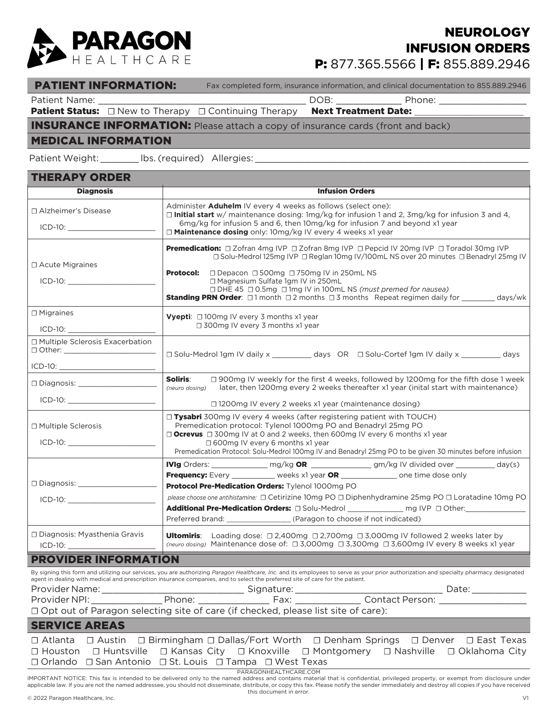

## P: 877.365.5566 | F: 855.889.2946 **NEUROLOGY** INFUSION ORDERS

#### PATIENT INFORMATION: Fax completed form, insurance information, and clinical documentation to 855.889.2946

Patient Name: \_\_\_\_\_\_\_\_\_\_\_\_\_\_\_\_\_\_\_\_\_\_\_\_\_\_\_\_\_\_\_\_\_\_\_\_\_\_ DOB: \_\_\_\_\_\_\_\_\_\_\_\_ Phone: \_\_\_\_\_\_\_\_\_\_\_\_\_\_\_\_

THERAPY ORDER

Patient Status: □ New to Therapy □ Continuing Therapy Next Treatment Date:

### INSURANCE INFORMATION: Please attach a copy of insurance cards (front and back)

#### MEDICAL INFORMATION

Patient Weight: \_\_\_\_\_\_\_\_\_ lbs. (required) Allergies:

| IHERAPY ORDER                                      |                                                                                                                                                                                                                                                                                                                                                                                                                                                                                        |  |  |  |  |  |
|----------------------------------------------------|----------------------------------------------------------------------------------------------------------------------------------------------------------------------------------------------------------------------------------------------------------------------------------------------------------------------------------------------------------------------------------------------------------------------------------------------------------------------------------------|--|--|--|--|--|
| <b>Diagnosis</b>                                   | <b>Infusion Orders</b>                                                                                                                                                                                                                                                                                                                                                                                                                                                                 |  |  |  |  |  |
| □ Alzheimer's Disease<br>$ICD-10:$                 | Administer <b>Aduhelm</b> IV every 4 weeks as follows (select one):<br>□ Initial start w/ maintenance dosing: 1mg/kg for infusion 1 and 2, 3mg/kg for infusion 3 and 4,<br>6mg/kg for infusion 5 and 6, then 10mg/kg for infusion 7 and beyond x1 year<br>□ Maintenance dosing only: 10mg/kg IV every 4 weeks x1 year                                                                                                                                                                  |  |  |  |  |  |
| $\Box$ Acute Migraines                             | Premedication: □ Zofran 4mg IVP □ Zofran 8mg IVP □ Pepcid IV 20mg IVP □ Toradol 30mg IVP<br>□ Solu-Medrol 125mg IVP □ Reglan 10mg IV/100mL NS over 20 minutes □ Benadryl 25mg IV<br><b>Protocol:</b><br>□ Depacon □ 500mg □ 750mg IV in 250mL NS<br>□ Magnesium Sulfate 1gm IV in 250mL<br>$\Box$ DHE 45 $\Box$ 0.5mg $\Box$ 1mg IV in 100mL NS (must premed for nausea)<br><b>Standing PRN Order:</b> $\Box$ 1 month $\Box$ 2 months $\Box$ 3 months Repeat regimen daily for days/wk |  |  |  |  |  |
| $\Box$ Migraines                                   | <b>Vyepti:</b> $\Box$ 100mg IV every 3 months x1 year                                                                                                                                                                                                                                                                                                                                                                                                                                  |  |  |  |  |  |
|                                                    | $\Box$ 300mg IV every 3 months x1 year                                                                                                                                                                                                                                                                                                                                                                                                                                                 |  |  |  |  |  |
| □ Multiple Sclerosis Exacerbation<br>$\Box$ Other: | □ Solu-Medrol 1gm IV daily x days OR □ Solu-Cortef 1gm IV daily x days                                                                                                                                                                                                                                                                                                                                                                                                                 |  |  |  |  |  |
|                                                    |                                                                                                                                                                                                                                                                                                                                                                                                                                                                                        |  |  |  |  |  |
|                                                    | Soliris:<br>□ 900mg IV weekly for the first 4 weeks, followed by 1200mg for the fifth dose 1 week<br>later, then 1200mg every 2 weeks thereafter x1 year (inital start with maintenance)<br>(neuro dosing)                                                                                                                                                                                                                                                                             |  |  |  |  |  |
|                                                    | $\Box$ 1200mg IV every 2 weeks x1 year (maintenance dosing)                                                                                                                                                                                                                                                                                                                                                                                                                            |  |  |  |  |  |
| □ Multiple Sclerosis                               | $\Box$ Tysabri 300mg IV every 4 weeks (after registering patient with TOUCH)<br>Premedication protocol: Tylenol 1000mg PO and Benadryl 25mg PO<br><b>Ocrevus</b> $\Box$ 300mg IV at 0 and 2 weeks, then 600mg IV every 6 months x1 year<br>$\Box$ 600mg IV every 6 months x1 year<br>Premedication Protocol: Solu-Medrol 100mg IV and Benadryl 25mg PO to be given 30 minutes before infusion                                                                                          |  |  |  |  |  |
|                                                    | IVIg Orders: ________________ mg/kg OR ______________ gm/kg IV divided over _________ day(s)                                                                                                                                                                                                                                                                                                                                                                                           |  |  |  |  |  |
| □ Diagnosis: ______________________                | <b>Frequency:</b> Every ___________ weeks x1 year OR ______________ one time dose only<br>Protocol Pre-Medication Orders: Tylenol 1000mg PO                                                                                                                                                                                                                                                                                                                                            |  |  |  |  |  |
|                                                    | please choose one antihistamine: □ Cetirizine 10mg PO □ Diphenhydramine 25mg PO □ Loratadine 10mg PO<br>Additional Pre-Medication Orders: $\square$ Solu-Medrol ______________ mg IVP $\square$ Other:________________<br>Preferred brand: (Paragon to choose if not indicated)                                                                                                                                                                                                        |  |  |  |  |  |
| □ Diagnosis: Myasthenia Gravis<br>$ICD-10:$        | <b>Ultomiris:</b> Loading dose: $\Box$ 2,400mg $\Box$ 2,700mg $\Box$ 3,000mg IV followed 2 weeks later by<br>(neuro dosing) Maintenance dose of: □ 3,000mg □ 3,300mg □ 3,600mg Ⅳ every 8 weeks x1 year                                                                                                                                                                                                                                                                                 |  |  |  |  |  |
| <b>PROVIDER INFORMATION</b>                        |                                                                                                                                                                                                                                                                                                                                                                                                                                                                                        |  |  |  |  |  |
| Provider Name: _____________                       | By signing this form and utilizing our services, you are authorizing Paragon Healthcare, Inc. and its employees to serve as your prior authorization and specialty pharmacy designated<br>agent in dealing with medical and prescription insurance companies, and to select the preferred site of care for the patient.<br><u>Nignature: Electronic Signature:</u>                                                                                                                     |  |  |  |  |  |
| Provider NPI:                                      | Contact Person:<br>Phone:                                                                                                                                                                                                                                                                                                                                                                                                                                                              |  |  |  |  |  |

☐ Opt out of Paragon selecting site of care (if checked, please list site of care):

#### SERVICE AREAS

|                        |  |                                                                                   |  |  |  | $\Box$ Atlanta $\Box$ Austin $\Box$ Birmingham $\Box$ Dallas/Fort Worth $\Box$ Denham Springs $\Box$ Denver $\Box$ East Texas |
|------------------------|--|-----------------------------------------------------------------------------------|--|--|--|-------------------------------------------------------------------------------------------------------------------------------|
|                        |  |                                                                                   |  |  |  | $\Box$ Houston $\Box$ Huntsville $\Box$ Kansas City $\Box$ Knoxville $\Box$ Montgomery $\Box$ Nashville $\Box$ Oklahoma City  |
|                        |  | $\Box$ Orlando $\Box$ San Antonio $\Box$ St. Louis $\Box$ Tampa $\Box$ West Texas |  |  |  |                                                                                                                               |
| PARAGONHEAI THCARE.COM |  |                                                                                   |  |  |  |                                                                                                                               |

IMPORTANT NOTICE: This fax is intended to be delivered only to the named address and contains material that is confidential, privileged property, or exempt from disclosure under applicable law. If you are not the named addressee, you should not disseminate, distribute, or copy this fax. Please notify the sender immediately and destroy all copies if you have received this document in error.